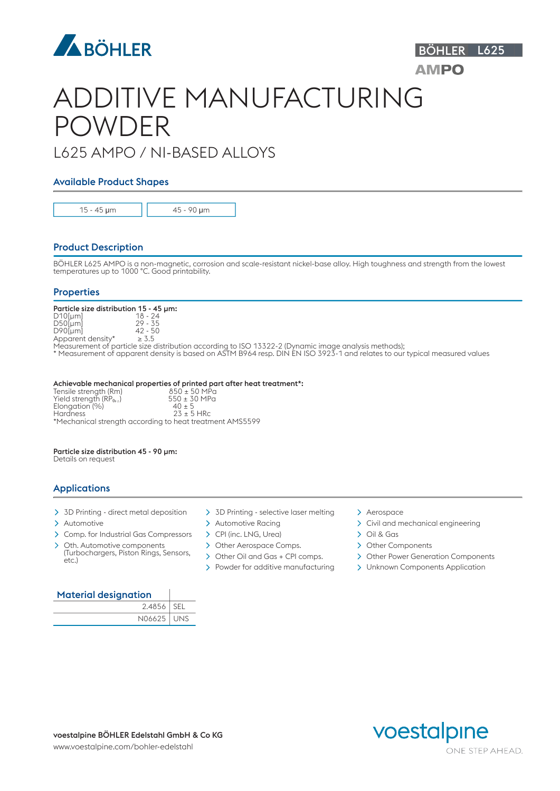

# ADDITIVE MANUFACTURING POWDER

# L625 AMPO / NI-BASED ALLOYS

# Available Product Shapes

15 - 45 μm 45 - 90 μm

# Product Description

BÖHLER L625 AMPO is a non-magnetic, corrosion and scale-resistant nickel-base alloy. High toughness and strength from the lowest temperatures up to 1000 °C. Good printability.

## **Properties**

Particle size distribution 15 - 45 µm:<br>D10[µm]  $18 - 24$ <br>D50[µm]  $29 - 35$  $D10$ [µm] D50[µm] 29 - 35 D90[µm] 42 - 50 Apparent density\*  $\geq 3.5$ 

Measurement of particle size distribution according to ISO 13322-2 (Dynamic image analysis methods);

\* Measurement of apparent density is based on ASTM B964 resp. DIN EN ISO 3923-1 and relates to our typical measured values

#### Achievable mechanical properties of printed part after heat treatment\*:

Tensile strength (Rm)  $850 \pm 50$  MPa  $Y$ ield strength (RP $_{012}$ )  $550 \pm 30$  MPa Tensile strength (Rm)<br>Yield strength (RP<sub>0,2</sub>)<br>Elongation (%)<br>Hardness  $40 \pm 5$ <br>  $23 \pm 5$  HRc \*Mechanical strength according to heat treatment AMS5599

# Particle size distribution 45 - 90 µm:

Details on request

# Applications

- $>$  3D Printing direct metal deposition  $>$  3D Printing selective laser melting  $>$  Aerospace
- 
- > Comp. for Industrial Gas Compressors > CPI (inc. LNG, Urea) > Oil & Gas
- > Oth. Automotive components (Turbochargers, Piston Rings, Sensors, etc.)
- 
- 
- - > Other Aerospace Comps. > Other Components
	-
	-

- > Automotive  $\longrightarrow$  Automotive Racing  $\longrightarrow$  Civil and mechanical engineering
	-
	-
	- > Other Power Generation Components

BÖHLER L625

**AMPO** 

 $\geq$  Powder for additive manufacturing  $\geq$  Unknown Components Application

### Material designation

| 2.4856       | <sup>I</sup> SEL |
|--------------|------------------|
| N06625   UNS |                  |